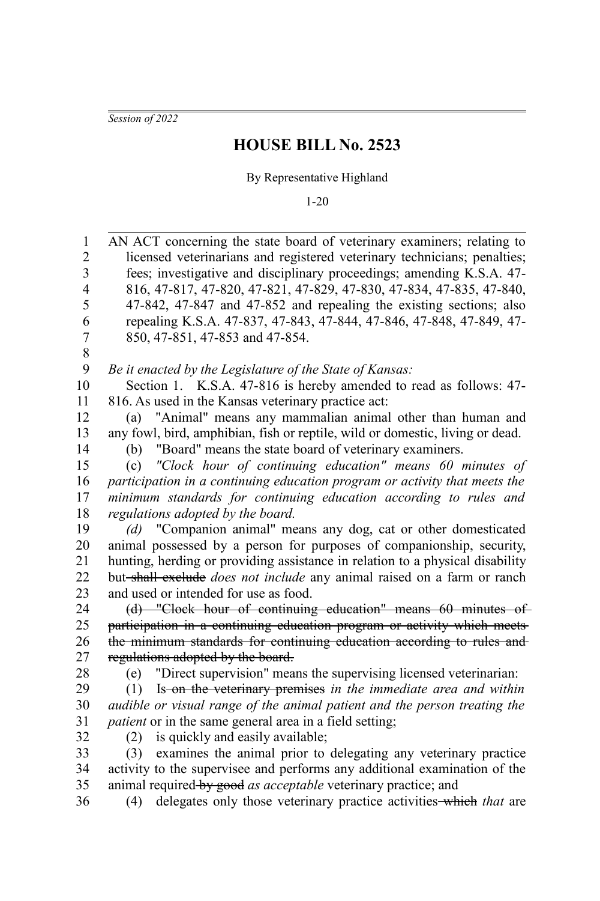*Session of 2022*

## **HOUSE BILL No. 2523**

By Representative Highland

1-20

| $\mathbf{1}$   | AN ACT concerning the state board of veterinary examiners; relating to         |
|----------------|--------------------------------------------------------------------------------|
| $\overline{c}$ | licensed veterinarians and registered veterinary technicians; penalties;       |
| 3              | fees; investigative and disciplinary proceedings; amending K.S.A. 47-          |
| $\overline{4}$ | 816, 47-817, 47-820, 47-821, 47-829, 47-830, 47-834, 47-835, 47-840,           |
| 5              | 47-842, 47-847 and 47-852 and repealing the existing sections; also            |
| 6              | repealing K.S.A. 47-837, 47-843, 47-844, 47-846, 47-848, 47-849, 47-           |
| 7              | 850, 47-851, 47-853 and 47-854.                                                |
| 8              |                                                                                |
| 9              | Be it enacted by the Legislature of the State of Kansas:                       |
| 10             | Section 1. K.S.A. 47-816 is hereby amended to read as follows: 47-             |
| 11             | 816. As used in the Kansas veterinary practice act:                            |
| 12             | (a) "Animal" means any mammalian animal other than human and                   |
| 13             | any fowl, bird, amphibian, fish or reptile, wild or domestic, living or dead.  |
| 14             | "Board" means the state board of veterinary examiners.<br>(b)                  |
| 15             | "Clock hour of continuing education" means 60 minutes of<br>(c)                |
| 16             | participation in a continuing education program or activity that meets the     |
| 17             | minimum standards for continuing education according to rules and              |
| 18             | regulations adopted by the board.                                              |
| 19             | (d) "Companion animal" means any dog, cat or other domesticated                |
| 20             | animal possessed by a person for purposes of companionship, security,          |
| 21             | hunting, herding or providing assistance in relation to a physical disability  |
| 22             | but-shall exclude <i>does not include</i> any animal raised on a farm or ranch |
| 23             | and used or intended for use as food.                                          |
| 24             | (d) "Clock hour of continuing education" means 60 minutes of                   |
| 25             | participation in a continuing education program or activity which meets        |
| 26             | the minimum standards for continuing education according to rules and          |
| 27             | regulations adopted by the board.                                              |
| 28             | "Direct supervision" means the supervising licensed veterinarian:<br>(e)       |
| 29             | Is-on the veterinary premises in the immediate area and within<br>(1)          |
| 30             | audible or visual range of the animal patient and the person treating the      |
| 31             | <i>patient</i> or in the same general area in a field setting;                 |
| 32             | is quickly and easily available;<br>(2)                                        |
| 33             | examines the animal prior to delegating any veterinary practice<br>(3)         |
| 34             | activity to the supervisee and performs any additional examination of the      |
| 35             | animal required-by good as acceptable veterinary practice; and                 |
| 36             | delegates only those veterinary practice activities-which that are<br>(4)      |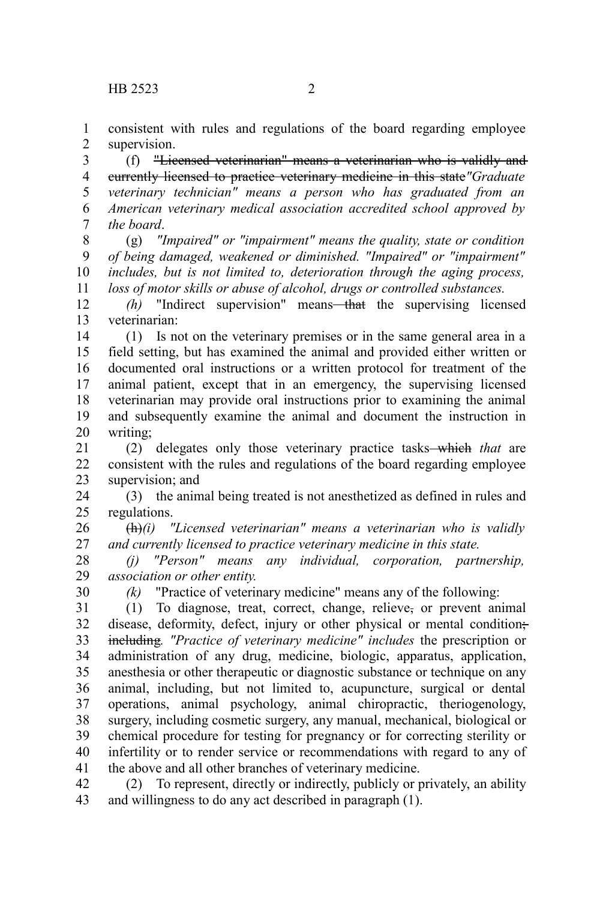consistent with rules and regulations of the board regarding employee supervision. 1 2

(f) "Licensed veterinarian" means a veterinarian who is validly and currently licensed to practice veterinary medicine in this state*"Graduate veterinary technician" means a person who has graduated from an American veterinary medical association accredited school approved by the board*. 3 4 5 6 7

(g) *"Impaired" or "impairment" means the quality, state or condition of being damaged, weakened or diminished. "Impaired" or "impairment" includes, but is not limited to, deterioration through the aging process, loss of motor skills or abuse of alcohol, drugs or controlled substances.* 8 9 10 11

*(h)* "Indirect supervision" means—that the supervising licensed veterinarian: 12 13

(1) Is not on the veterinary premises or in the same general area in a field setting, but has examined the animal and provided either written or documented oral instructions or a written protocol for treatment of the animal patient, except that in an emergency, the supervising licensed veterinarian may provide oral instructions prior to examining the animal and subsequently examine the animal and document the instruction in writing; 14 15 16 17 18 19 20

(2) delegates only those veterinary practice tasks which *that* are consistent with the rules and regulations of the board regarding employee supervision; and 21 22 23

(3) the animal being treated is not anesthetized as defined in rules and regulations. 24 25

(h)*(i) "Licensed veterinarian" means a veterinarian who is validly and currently licensed to practice veterinary medicine in this state.* 26 27

*(j) "Person" means any individual, corporation, partnership, association or other entity.* 28 29

30

*(k)* "Practice of veterinary medicine" means any of the following:

(1) To diagnose, treat, correct, change, relieve, or prevent animal disease, deformity, defect, injury or other physical or mental condition; including*. "Practice of veterinary medicine" includes* the prescription or administration of any drug, medicine, biologic, apparatus, application, anesthesia or other therapeutic or diagnostic substance or technique on any animal, including, but not limited to, acupuncture, surgical or dental operations, animal psychology, animal chiropractic, theriogenology, surgery, including cosmetic surgery, any manual, mechanical, biological or chemical procedure for testing for pregnancy or for correcting sterility or infertility or to render service or recommendations with regard to any of the above and all other branches of veterinary medicine. 31 32 33 34 35 36 37 38 39 40 41

(2) To represent, directly or indirectly, publicly or privately, an ability and willingness to do any act described in paragraph (1). 42 43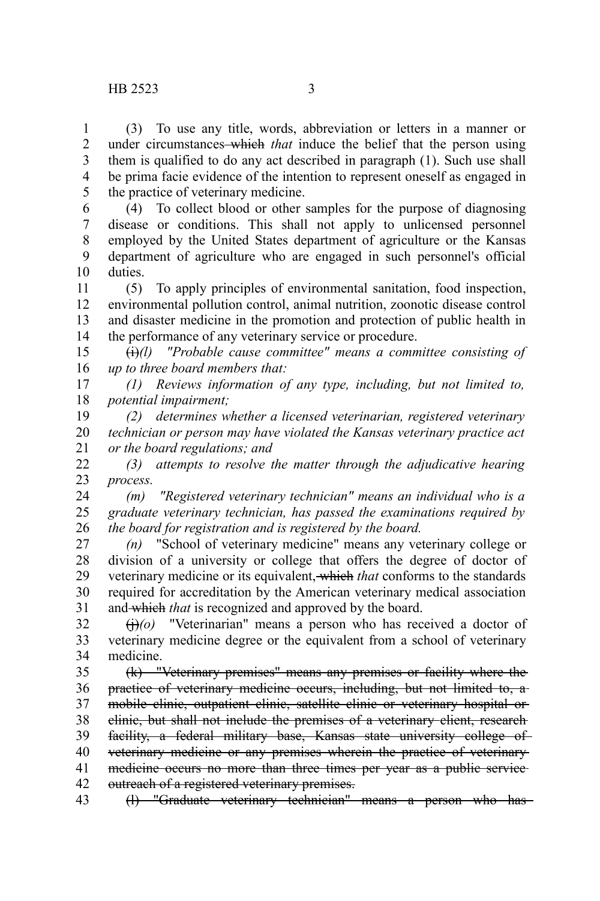(3) To use any title, words, abbreviation or letters in a manner or under circumstances which *that* induce the belief that the person using them is qualified to do any act described in paragraph (1). Such use shall be prima facie evidence of the intention to represent oneself as engaged in

the practice of veterinary medicine. 5

(4) To collect blood or other samples for the purpose of diagnosing disease or conditions. This shall not apply to unlicensed personnel employed by the United States department of agriculture or the Kansas department of agriculture who are engaged in such personnel's official duties. 6 7 8 9 10

(5) To apply principles of environmental sanitation, food inspection, environmental pollution control, animal nutrition, zoonotic disease control and disaster medicine in the promotion and protection of public health in the performance of any veterinary service or procedure. 11 12 13 14

(i)*(l) "Probable cause committee" means a committee consisting of up to three board members that:* 15 16

*(1) Reviews information of any type, including, but not limited to, potential impairment;* 17 18

*(2) determines whether a licensed veterinarian, registered veterinary technician or person may have violated the Kansas veterinary practice act or the board regulations; and* 19 20 21

*(3) attempts to resolve the matter through the adjudicative hearing process.* 22 23

*(m) "Registered veterinary technician" means an individual who is a graduate veterinary technician, has passed the examinations required by the board for registration and is registered by the board.* 24 25 26

*(n)* "School of veterinary medicine" means any veterinary college or division of a university or college that offers the degree of doctor of veterinary medicine or its equivalent, which *that* conforms to the standards required for accreditation by the American veterinary medical association and which *that* is recognized and approved by the board. 27 28 29 30 31

 $\left(\frac{1}{10}\right)(o)$  "Veterinarian" means a person who has received a doctor of veterinary medicine degree or the equivalent from a school of veterinary medicine. 32 33 34

(k) "Veterinary premises" means any premises or facility where the practice of veterinary medicine occurs, including, but not limited to, a mobile clinic, outpatient clinic, satellite clinic or veterinary hospital or clinic, but shall not include the premises of a veterinary client, research facility, a federal military base, Kansas state university college of veterinary medicine or any premises wherein the practice of veterinary medicine occurs no more than three times per year as a public serviceoutreach of a registered veterinary premises. 35 36 37 38 39 40 41 42

(l) "Graduate veterinary technician" means a person who has 43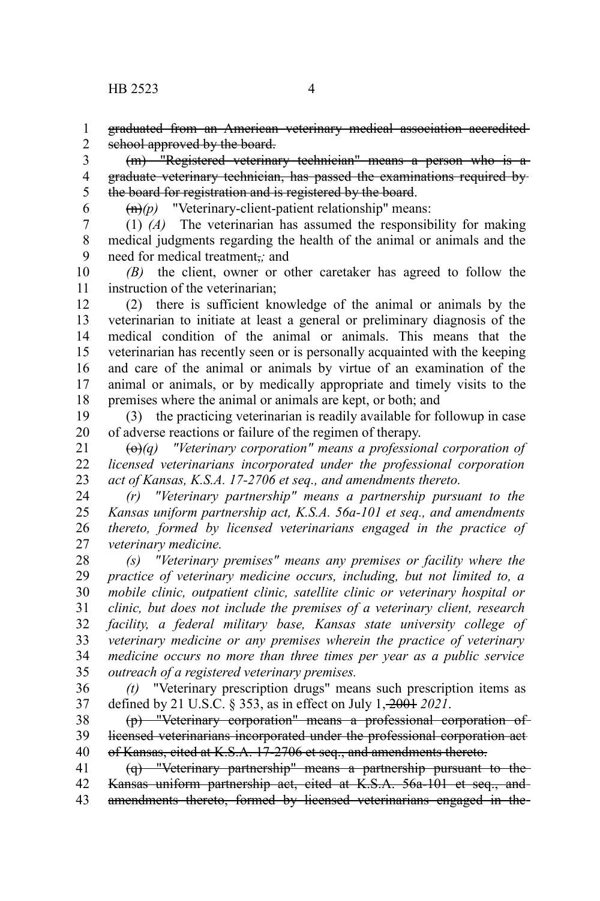graduated from an American veterinary medical association accredited school approved by the board. 1 2

(m) "Registered veterinary technician" means a person who is a graduate veterinary technician, has passed the examinations required by the board for registration and is registered by the board. 3 4 5

6

(n)*(p)* "Veterinary-client-patient relationship" means:

(1) *(A)* The veterinarian has assumed the responsibility for making medical judgments regarding the health of the animal or animals and the need for medical treatment,*;* and 7 8 9

*(B)* the client, owner or other caretaker has agreed to follow the instruction of the veterinarian; 10 11

(2) there is sufficient knowledge of the animal or animals by the veterinarian to initiate at least a general or preliminary diagnosis of the medical condition of the animal or animals. This means that the veterinarian has recently seen or is personally acquainted with the keeping and care of the animal or animals by virtue of an examination of the animal or animals, or by medically appropriate and timely visits to the premises where the animal or animals are kept, or both; and 12 13 14 15 16 17 18

(3) the practicing veterinarian is readily available for followup in case of adverse reactions or failure of the regimen of therapy. 19 20

(o)*(q) "Veterinary corporation" means a professional corporation of licensed veterinarians incorporated under the professional corporation act of Kansas, K.S.A. 17-2706 et seq., and amendments thereto.* 21 22 23

*(r) "Veterinary partnership" means a partnership pursuant to the Kansas uniform partnership act, K.S.A. 56a-101 et seq., and amendments thereto, formed by licensed veterinarians engaged in the practice of veterinary medicine.* 24 25 26 27

*(s) "Veterinary premises" means any premises or facility where the practice of veterinary medicine occurs, including, but not limited to, a mobile clinic, outpatient clinic, satellite clinic or veterinary hospital or clinic, but does not include the premises of a veterinary client, research facility, a federal military base, Kansas state university college of veterinary medicine or any premises wherein the practice of veterinary medicine occurs no more than three times per year as a public service outreach of a registered veterinary premises.* 28 29 30 31 32 33 34 35

*(t)* "Veterinary prescription drugs" means such prescription items as defined by 21 U.S.C. § 353, as in effect on July 1, 2001 *2021*. 36 37

(p) "Veterinary corporation" means a professional corporation of licensed veterinarians incorporated under the professional corporation act of Kansas, cited at K.S.A. 17-2706 et seq., and amendments thereto. 38 39 40

(q) "Veterinary partnership" means a partnership pursuant to the Kansas uniform partnership act, cited at K.S.A. 56a-101 et seq., and amendments thereto, formed by licensed veterinarians engaged in the 41 42 43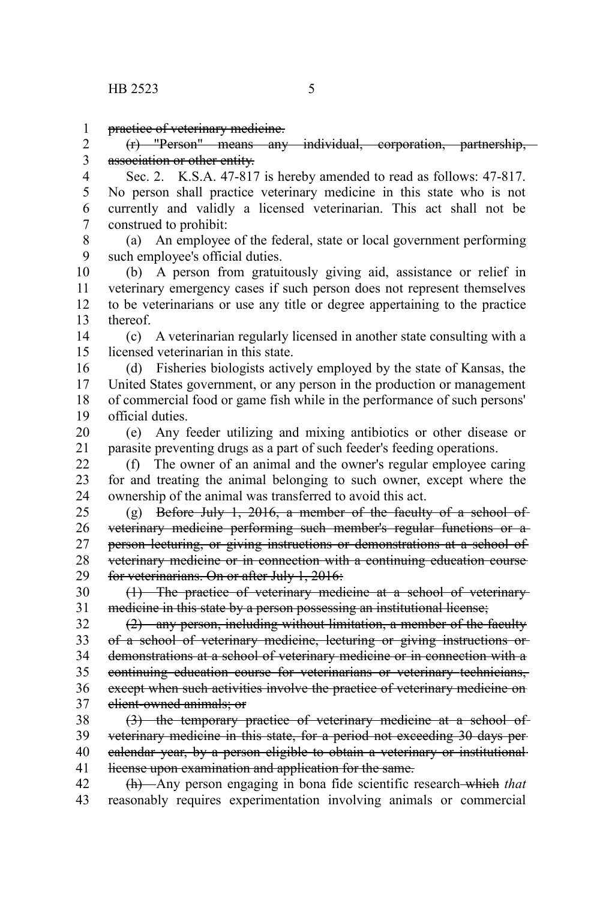practice of veterinary medicine. 1

(r) "Person" means any individual, corporation, partnership, association or other entity. 2 3

Sec. 2. K.S.A. 47-817 is hereby amended to read as follows: 47-817. No person shall practice veterinary medicine in this state who is not currently and validly a licensed veterinarian. This act shall not be construed to prohibit: 4 5 6 7

(a) An employee of the federal, state or local government performing such employee's official duties. 8 9

(b) A person from gratuitously giving aid, assistance or relief in veterinary emergency cases if such person does not represent themselves to be veterinarians or use any title or degree appertaining to the practice thereof. 10 11 12 13

(c) A veterinarian regularly licensed in another state consulting with a licensed veterinarian in this state. 14 15

(d) Fisheries biologists actively employed by the state of Kansas, the United States government, or any person in the production or management of commercial food or game fish while in the performance of such persons' official duties. 16 17 18 19

(e) Any feeder utilizing and mixing antibiotics or other disease or parasite preventing drugs as a part of such feeder's feeding operations. 20 21

(f) The owner of an animal and the owner's regular employee caring for and treating the animal belonging to such owner, except where the ownership of the animal was transferred to avoid this act.  $22$ 23 24

(g) Before July 1, 2016, a member of the faculty of a school of veterinary medicine performing such member's regular functions or a person lecturing, or giving instructions or demonstrations at a school of veterinary medicine or in connection with a continuing education course for veterinarians. On or after July 1, 2016: 25 26 27 28 29

(1) The practice of veterinary medicine at a school of veterinary medicine in this state by a person possessing an institutional license; 30 31

(2) any person, including without limitation, a member of the faculty of a school of veterinary medicine, lecturing or giving instructions or demonstrations at a school of veterinary medicine or in connection with a continuing education course for veterinarians or veterinary technicians, except when such activities involve the practice of veterinary medicine on client-owned animals; or 32 33 34 35 36 37

(3) the temporary practice of veterinary medicine at a school of veterinary medicine in this state, for a period not exceeding 30 days per calendar year, by a person eligible to obtain a veterinary or institutional license upon examination and application for the same. 38 39 40 41

(h) Any person engaging in bona fide scientific research which *that* reasonably requires experimentation involving animals or commercial 42 43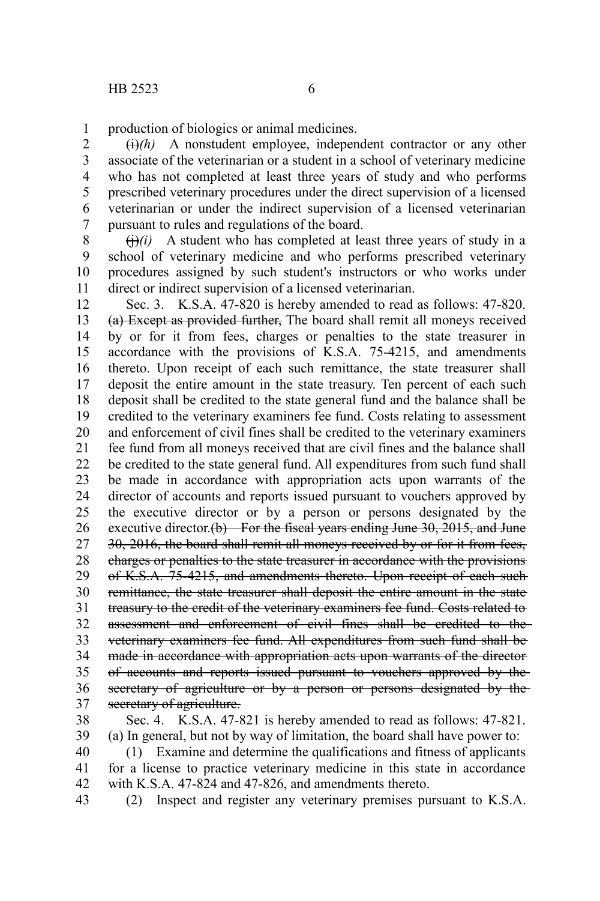production of biologics or animal medicines. 1

 $\overrightarrow{(h)}$  A nonstudent employee, independent contractor or any other associate of the veterinarian or a student in a school of veterinary medicine who has not completed at least three years of study and who performs prescribed veterinary procedures under the direct supervision of a licensed veterinarian or under the indirect supervision of a licensed veterinarian pursuant to rules and regulations of the board. 2 3 4 5 6 7

 $\left(\frac{1}{1}\right)(i)$  A student who has completed at least three years of study in a school of veterinary medicine and who performs prescribed veterinary procedures assigned by such student's instructors or who works under direct or indirect supervision of a licensed veterinarian. 8 9 10 11

Sec. 3. K.S.A. 47-820 is hereby amended to read as follows: 47-820. (a) Except as provided further, The board shall remit all moneys received by or for it from fees, charges or penalties to the state treasurer in accordance with the provisions of K.S.A. 75-4215, and amendments thereto. Upon receipt of each such remittance, the state treasurer shall deposit the entire amount in the state treasury. Ten percent of each such deposit shall be credited to the state general fund and the balance shall be credited to the veterinary examiners fee fund. Costs relating to assessment and enforcement of civil fines shall be credited to the veterinary examiners fee fund from all moneys received that are civil fines and the balance shall be credited to the state general fund. All expenditures from such fund shall be made in accordance with appropriation acts upon warrants of the director of accounts and reports issued pursuant to vouchers approved by the executive director or by a person or persons designated by the executive director. $(b)$  For the fiscal years ending June 30, 2015, and June 30, 2016, the board shall remit all moneys received by or for it from fees, charges or penalties to the state treasurer in accordance with the provisions of K.S.A. 75-4215, and amendments thereto. Upon receipt of each such remittance, the state treasurer shall deposit the entire amount in the state treasury to the credit of the veterinary examiners fee fund. Costs related to assessment and enforcement of civil fines shall be credited to the veterinary examiners fee fund. All expenditures from such fund shall be made in accordance with appropriation acts upon warrants of the director of accounts and reports issued pursuant to vouchers approved by the secretary of agriculture or by a person or persons designated by the secretary of agriculture. 12 13 14 15 16 17 18 19 20 21 22 23 24 25 26 27 28 29 30 31 32 33 34 35 36 37

Sec. 4. K.S.A. 47-821 is hereby amended to read as follows: 47-821. (a) In general, but not by way of limitation, the board shall have power to: 38 39

(1) Examine and determine the qualifications and fitness of applicants for a license to practice veterinary medicine in this state in accordance with K.S.A. 47-824 and 47-826, and amendments thereto. 40 41 42

43

(2) Inspect and register any veterinary premises pursuant to K.S.A.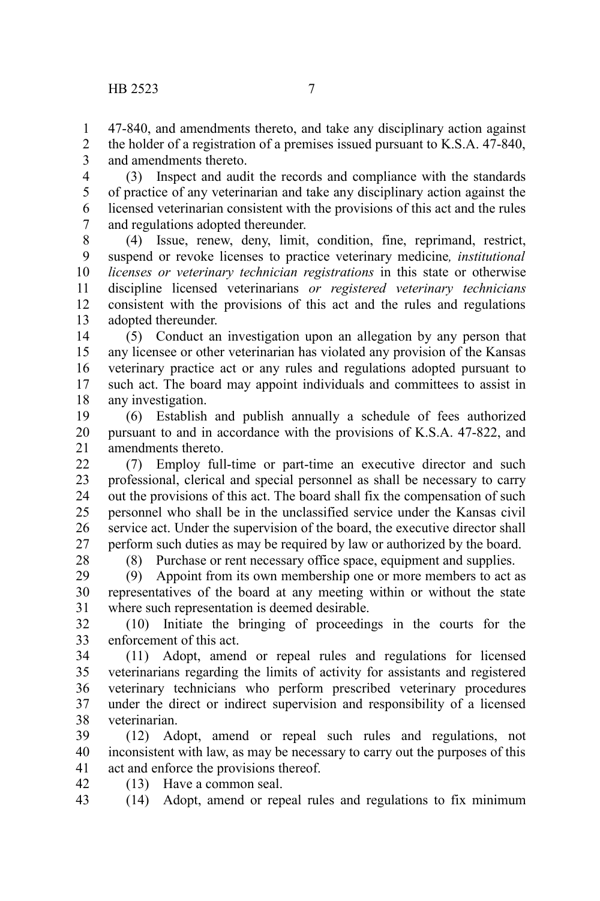47-840, and amendments thereto, and take any disciplinary action against the holder of a registration of a premises issued pursuant to K.S.A. 47-840, 1 2

and amendments thereto. 3

(3) Inspect and audit the records and compliance with the standards of practice of any veterinarian and take any disciplinary action against the licensed veterinarian consistent with the provisions of this act and the rules and regulations adopted thereunder. 4 5 6 7

(4) Issue, renew, deny, limit, condition, fine, reprimand, restrict, suspend or revoke licenses to practice veterinary medicine*, institutional licenses or veterinary technician registrations* in this state or otherwise discipline licensed veterinarians *or registered veterinary technicians* consistent with the provisions of this act and the rules and regulations adopted thereunder. 8 9 10 11 12 13

(5) Conduct an investigation upon an allegation by any person that any licensee or other veterinarian has violated any provision of the Kansas veterinary practice act or any rules and regulations adopted pursuant to such act. The board may appoint individuals and committees to assist in any investigation. 14 15 16 17 18

(6) Establish and publish annually a schedule of fees authorized pursuant to and in accordance with the provisions of K.S.A. 47-822, and amendments thereto. 19 20 21

(7) Employ full-time or part-time an executive director and such professional, clerical and special personnel as shall be necessary to carry out the provisions of this act. The board shall fix the compensation of such personnel who shall be in the unclassified service under the Kansas civil service act. Under the supervision of the board, the executive director shall perform such duties as may be required by law or authorized by the board. 22 23 24 25 26 27

28

(8) Purchase or rent necessary office space, equipment and supplies.

(9) Appoint from its own membership one or more members to act as representatives of the board at any meeting within or without the state where such representation is deemed desirable. 29 30 31

(10) Initiate the bringing of proceedings in the courts for the enforcement of this act. 32 33

(11) Adopt, amend or repeal rules and regulations for licensed veterinarians regarding the limits of activity for assistants and registered veterinary technicians who perform prescribed veterinary procedures under the direct or indirect supervision and responsibility of a licensed veterinarian. 34 35 36 37 38

(12) Adopt, amend or repeal such rules and regulations, not inconsistent with law, as may be necessary to carry out the purposes of this act and enforce the provisions thereof. 39 40 41

(13) Have a common seal. 42

(14) Adopt, amend or repeal rules and regulations to fix minimum 43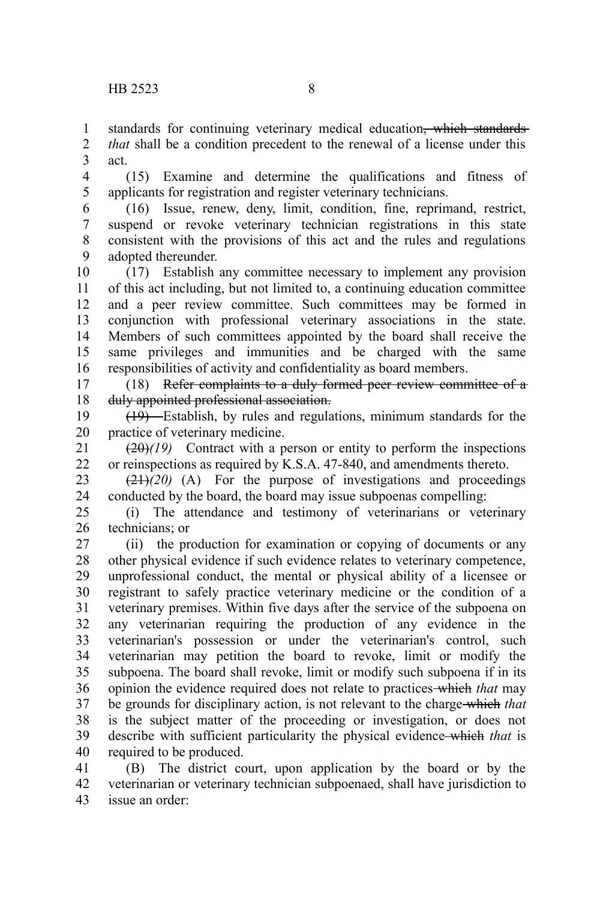standards for continuing veterinary medical education<del>, which standards</del> 1

*that* shall be a condition precedent to the renewal of a license under this act. 2 3

(15) Examine and determine the qualifications and fitness of applicants for registration and register veterinary technicians. 4 5

(16) Issue, renew, deny, limit, condition, fine, reprimand, restrict, suspend or revoke veterinary technician registrations in this state consistent with the provisions of this act and the rules and regulations adopted thereunder. 6 7 8 9

(17) Establish any committee necessary to implement any provision of this act including, but not limited to, a continuing education committee and a peer review committee. Such committees may be formed in conjunction with professional veterinary associations in the state. Members of such committees appointed by the board shall receive the same privileges and immunities and be charged with the same responsibilities of activity and confidentiality as board members. 10 11 12 13 14 15 16

(18) Refer complaints to a duly formed peer review committee of a duly appointed professional association. 17 18

(19) Establish, by rules and regulations, minimum standards for the practice of veterinary medicine. 19 20

 $(20)(19)$  Contract with a person or entity to perform the inspections or reinspections as required by K.S.A. 47-840, and amendments thereto. 21 22

 $\left(\frac{21}{20}\right)$  (A) For the purpose of investigations and proceedings conducted by the board, the board may issue subpoenas compelling: 23 24

(i) The attendance and testimony of veterinarians or veterinary technicians; or 25 26

(ii) the production for examination or copying of documents or any other physical evidence if such evidence relates to veterinary competence, unprofessional conduct, the mental or physical ability of a licensee or registrant to safely practice veterinary medicine or the condition of a veterinary premises. Within five days after the service of the subpoena on any veterinarian requiring the production of any evidence in the veterinarian's possession or under the veterinarian's control, such veterinarian may petition the board to revoke, limit or modify the subpoena. The board shall revoke, limit or modify such subpoena if in its opinion the evidence required does not relate to practices which *that* may be grounds for disciplinary action, is not relevant to the charge which *that* is the subject matter of the proceeding or investigation, or does not describe with sufficient particularity the physical evidence which *that* is required to be produced. 27 28 29 30 31 32 33 34 35 36 37 38 39 40

(B) The district court, upon application by the board or by the veterinarian or veterinary technician subpoenaed, shall have jurisdiction to issue an order: 41 42 43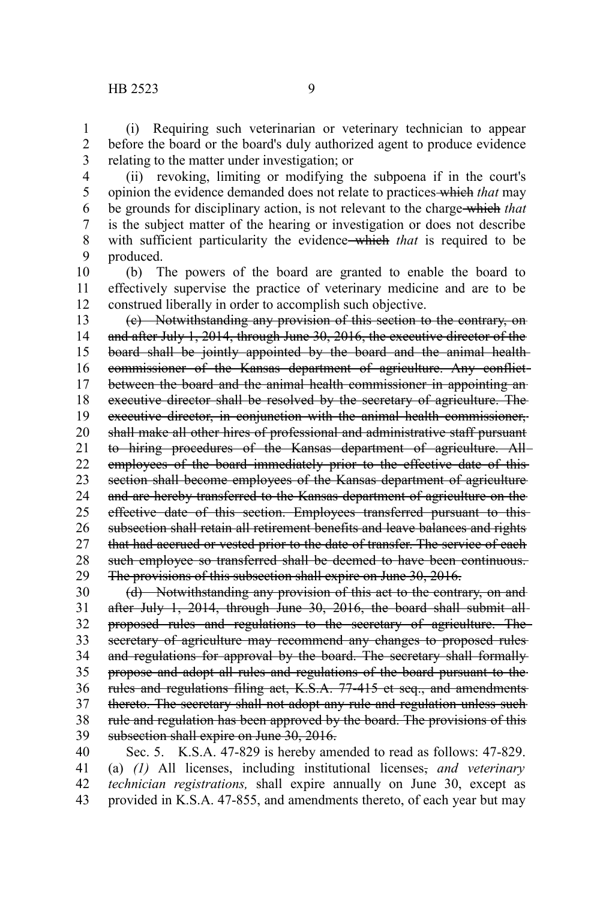(i) Requiring such veterinarian or veterinary technician to appear before the board or the board's duly authorized agent to produce evidence relating to the matter under investigation; or 1 2 3

(ii) revoking, limiting or modifying the subpoena if in the court's opinion the evidence demanded does not relate to practices which *that* may be grounds for disciplinary action, is not relevant to the charge which *that* is the subject matter of the hearing or investigation or does not describe with sufficient particularity the evidence which *that* is required to be produced. 4 5 6 7 8 9

(b) The powers of the board are granted to enable the board to effectively supervise the practice of veterinary medicine and are to be construed liberally in order to accomplish such objective. 10 11 12

(c) Notwithstanding any provision of this section to the contrary, on and after July 1, 2014, through June 30, 2016, the executive director of the board shall be jointly appointed by the board and the animal health commissioner of the Kansas department of agriculture. Any conflict between the board and the animal health commissioner in appointing anexecutive director shall be resolved by the secretary of agriculture. The executive director, in conjunction with the animal health commissioner, shall make all other hires of professional and administrative staff pursuant to hiring procedures of the Kansas department of agriculture. All employees of the board immediately prior to the effective date of this section shall become employees of the Kansas department of agriculture and are hereby transferred to the Kansas department of agriculture on the effective date of this section. Employees transferred pursuant to this subsection shall retain all retirement benefits and leave balances and rights that had accrued or vested prior to the date of transfer. The service of each such employee so transferred shall be deemed to have been continuous. The provisions of this subsection shall expire on June 30, 2016. 13 14 15 16 17 18 19 20 21 22 23 24 25 26 27 28 29

(d) Notwithstanding any provision of this act to the contrary, on and after July 1, 2014, through June 30, 2016, the board shall submit allproposed rules and regulations to the secretary of agriculture. The secretary of agriculture may recommend any changes to proposed rules and regulations for approval by the board. The secretary shall formally propose and adopt all rules and regulations of the board pursuant to the rules and regulations filing act, K.S.A. 77-415 et seq., and amendments thereto. The secretary shall not adopt any rule and regulation unless such rule and regulation has been approved by the board. The provisions of this subsection shall expire on June 30, 2016. 30 31 32 33 34 35 36 37 38 39

Sec. 5. K.S.A. 47-829 is hereby amended to read as follows: 47-829. (a) *(1)* All licenses, including institutional licenses, *and veterinary technician registrations,* shall expire annually on June 30, except as provided in K.S.A. 47-855, and amendments thereto, of each year but may 40 41 42 43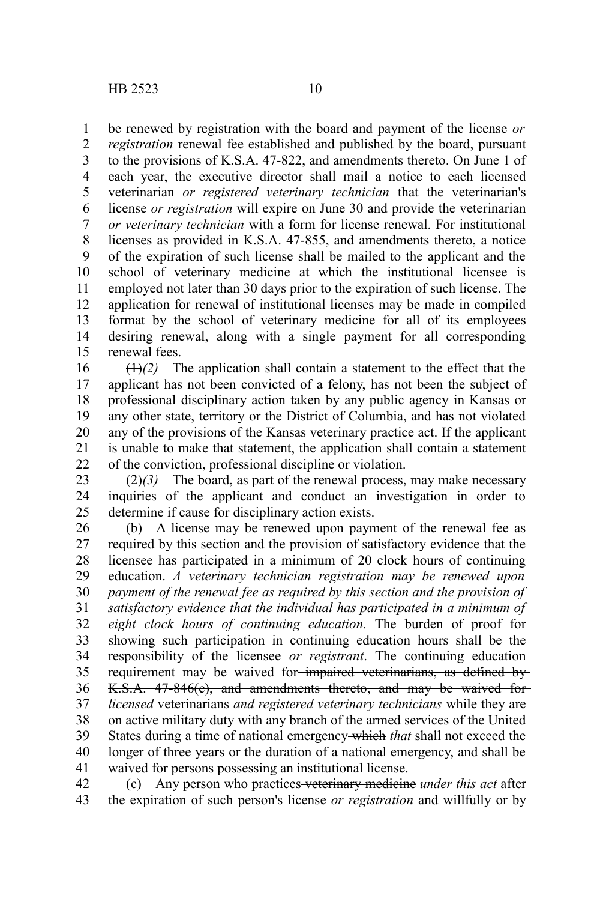be renewed by registration with the board and payment of the license *or* 1

*registration* renewal fee established and published by the board, pursuant to the provisions of K.S.A. 47-822, and amendments thereto. On June 1 of each year, the executive director shall mail a notice to each licensed veterinarian *or registered veterinary technician* that the veterinarian's license *or registration* will expire on June 30 and provide the veterinarian *or veterinary technician* with a form for license renewal. For institutional licenses as provided in K.S.A. 47-855, and amendments thereto, a notice of the expiration of such license shall be mailed to the applicant and the school of veterinary medicine at which the institutional licensee is employed not later than 30 days prior to the expiration of such license. The application for renewal of institutional licenses may be made in compiled format by the school of veterinary medicine for all of its employees desiring renewal, along with a single payment for all corresponding renewal fees. 2 3 4 5 6 7 8 9 10 11 12 13 14 15

 $(1)$ <sup>2</sup>) The application shall contain a statement to the effect that the applicant has not been convicted of a felony, has not been the subject of professional disciplinary action taken by any public agency in Kansas or any other state, territory or the District of Columbia, and has not violated any of the provisions of the Kansas veterinary practice act. If the applicant is unable to make that statement, the application shall contain a statement of the conviction, professional discipline or violation. 16 17 18 19 20 21 22

 $\left(\frac{2}{2}\right)$  The board, as part of the renewal process, may make necessary inquiries of the applicant and conduct an investigation in order to determine if cause for disciplinary action exists. 23 24 25

(b) A license may be renewed upon payment of the renewal fee as required by this section and the provision of satisfactory evidence that the licensee has participated in a minimum of 20 clock hours of continuing education. *A veterinary technician registration may be renewed upon payment of the renewal fee as required by this section and the provision of satisfactory evidence that the individual has participated in a minimum of eight clock hours of continuing education.* The burden of proof for showing such participation in continuing education hours shall be the responsibility of the licensee *or registrant*. The continuing education requirement may be waived for impaired veterinarians, as defined by K.S.A. 47-846(c), and amendments thereto, and may be waived for *licensed* veterinarians *and registered veterinary technicians* while they are on active military duty with any branch of the armed services of the United States during a time of national emergency which *that* shall not exceed the longer of three years or the duration of a national emergency, and shall be waived for persons possessing an institutional license. 26 27 28 29 30 31 32 33 34 35 36 37 38 39 40 41

(c) Any person who practices veterinary medicine *under this act* after the expiration of such person's license *or registration* and willfully or by 42 43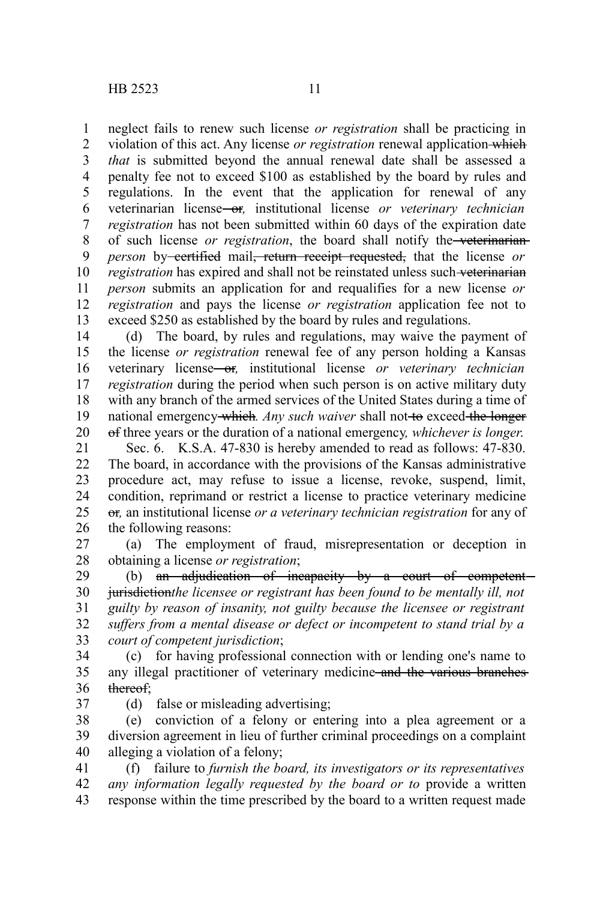neglect fails to renew such license *or registration* shall be practicing in violation of this act. Any license *or registration* renewal application which *that* is submitted beyond the annual renewal date shall be assessed a penalty fee not to exceed \$100 as established by the board by rules and regulations. In the event that the application for renewal of any veterinarian license or*,* institutional license *or veterinary technician registration* has not been submitted within 60 days of the expiration date of such license *or registration*, the board shall notify the veterinarian *person* by certified mail, return receipt requested, that the license or *registration* has expired and shall not be reinstated unless such veterinarian *person* submits an application for and requalifies for a new license *or registration* and pays the license *or registration* application fee not to exceed \$250 as established by the board by rules and regulations. 1 2 3 4 5 6 7 8 9 10 11 12 13

(d) The board, by rules and regulations, may waive the payment of the license *or registration* renewal fee of any person holding a Kansas veterinary license or*,* institutional license *or veterinary technician registration* during the period when such person is on active military duty with any branch of the armed services of the United States during a time of national emergency which. Any such waiver shall not to exceed the longer of three years or the duration of a national emergency*, whichever is longer*. 14 15 16 17 18 19 20

Sec. 6. K.S.A. 47-830 is hereby amended to read as follows: 47-830. The board, in accordance with the provisions of the Kansas administrative procedure act, may refuse to issue a license, revoke, suspend, limit, condition, reprimand or restrict a license to practice veterinary medicine or*,* an institutional license *or a veterinary technician registration* for any of the following reasons: 21 22 23 24 25 26

(a) The employment of fraud, misrepresentation or deception in obtaining a license *or registration*; 27 28

(b) an adjudication of incapacity by a court of competentjurisdiction*the licensee or registrant has been found to be mentally ill, not guilty by reason of insanity, not guilty because the licensee or registrant suffers from a mental disease or defect or incompetent to stand trial by a court of competent jurisdiction*; 29 30 31 32 33

(c) for having professional connection with or lending one's name to any illegal practitioner of veterinary medicine and the various branches thereof; 34 35 36

37

(d) false or misleading advertising;

(e) conviction of a felony or entering into a plea agreement or a diversion agreement in lieu of further criminal proceedings on a complaint alleging a violation of a felony; 38 39 40

(f) failure to *furnish the board, its investigators or its representatives any information legally requested by the board or to* provide a written response within the time prescribed by the board to a written request made 41 42 43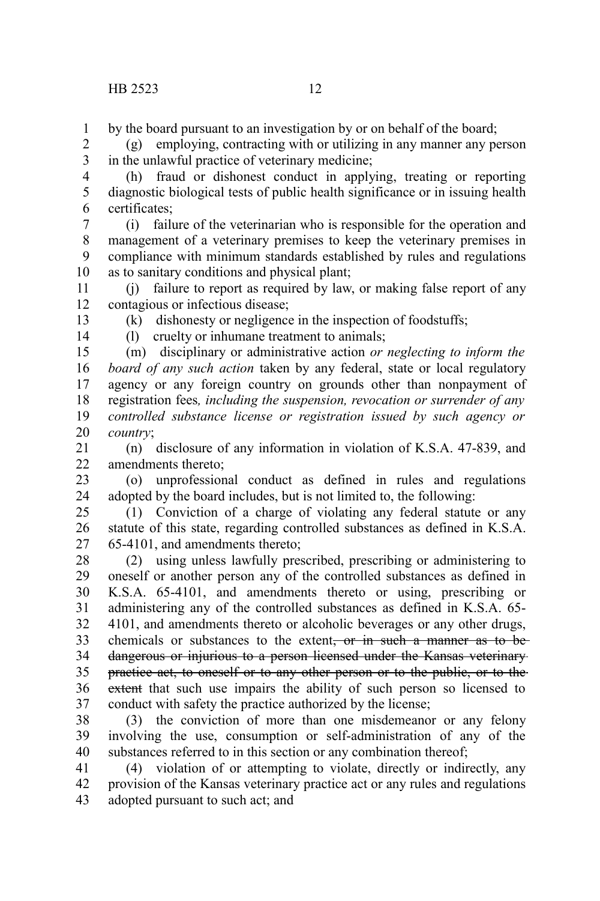by the board pursuant to an investigation by or on behalf of the board; 1

(g) employing, contracting with or utilizing in any manner any person in the unlawful practice of veterinary medicine; 2 3

(h) fraud or dishonest conduct in applying, treating or reporting diagnostic biological tests of public health significance or in issuing health certificates; 4 5 6

(i) failure of the veterinarian who is responsible for the operation and management of a veterinary premises to keep the veterinary premises in compliance with minimum standards established by rules and regulations as to sanitary conditions and physical plant; 7 8 9 10

(j) failure to report as required by law, or making false report of any contagious or infectious disease; 11 12 13

(k) dishonesty or negligence in the inspection of foodstuffs;

14

(l) cruelty or inhumane treatment to animals; (m) disciplinary or administrative action *or neglecting to inform the board of any such action* taken by any federal, state or local regulatory agency or any foreign country on grounds other than nonpayment of registration fees*, including the suspension, revocation or surrender of any* 15 16 17 18

*controlled substance license or registration issued by such agency or country*; 19 20

(n) disclosure of any information in violation of K.S.A. 47-839, and amendments thereto; 21 22

(o) unprofessional conduct as defined in rules and regulations adopted by the board includes, but is not limited to, the following: 23 24

(1) Conviction of a charge of violating any federal statute or any statute of this state, regarding controlled substances as defined in K.S.A. 65-4101, and amendments thereto; 25 26 27

(2) using unless lawfully prescribed, prescribing or administering to oneself or another person any of the controlled substances as defined in K.S.A. 65-4101, and amendments thereto or using, prescribing or administering any of the controlled substances as defined in K.S.A. 65- 4101, and amendments thereto or alcoholic beverages or any other drugs, chemicals or substances to the extent, or in such a manner as to bedangerous or injurious to a person licensed under the Kansas veterinary practice act, to oneself or to any other person or to the public, or to the extent that such use impairs the ability of such person so licensed to conduct with safety the practice authorized by the license; 28 29 30 31 32 33 34 35 36 37

(3) the conviction of more than one misdemeanor or any felony involving the use, consumption or self-administration of any of the substances referred to in this section or any combination thereof; 38 39 40

(4) violation of or attempting to violate, directly or indirectly, any provision of the Kansas veterinary practice act or any rules and regulations adopted pursuant to such act; and 41 42 43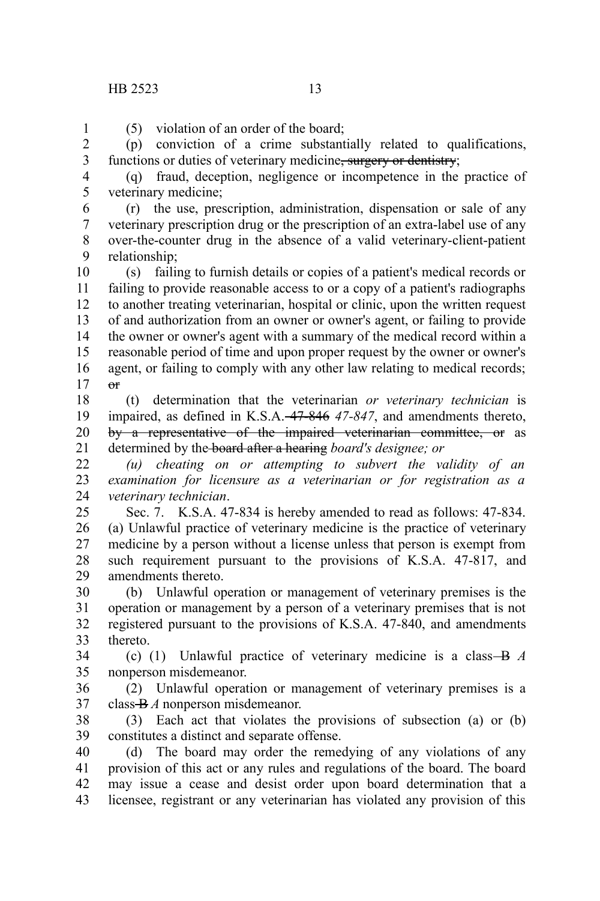(5) violation of an order of the board; 1

(p) conviction of a crime substantially related to qualifications, functions or duties of veterinary medicine, surgery or dentistry; 2 3

4 5

(q) fraud, deception, negligence or incompetence in the practice of veterinary medicine;

(r) the use, prescription, administration, dispensation or sale of any veterinary prescription drug or the prescription of an extra-label use of any over-the-counter drug in the absence of a valid veterinary-client-patient relationship; 6 7 8 9

(s) failing to furnish details or copies of a patient's medical records or failing to provide reasonable access to or a copy of a patient's radiographs to another treating veterinarian, hospital or clinic, upon the written request of and authorization from an owner or owner's agent, or failing to provide the owner or owner's agent with a summary of the medical record within a reasonable period of time and upon proper request by the owner or owner's agent, or failing to comply with any other law relating to medical records;  $\theta$ <sup>r</sup> 10 11 12 13 14 15 16 17

(t) determination that the veterinarian *or veterinary technician* is impaired, as defined in K.S.A. 47-846 *47-847*, and amendments thereto, by a representative of the impaired veterinarian committee, or as determined by the board after a hearing *board's designee; or* 18 19 20 21

*(u) cheating on or attempting to subvert the validity of an examination for licensure as a veterinarian or for registration as a veterinary technician*. 22 23 24

Sec. 7. K.S.A. 47-834 is hereby amended to read as follows: 47-834. (a) Unlawful practice of veterinary medicine is the practice of veterinary medicine by a person without a license unless that person is exempt from such requirement pursuant to the provisions of K.S.A. 47-817, and amendments thereto. 25 26 27 28 29

(b) Unlawful operation or management of veterinary premises is the operation or management by a person of a veterinary premises that is not registered pursuant to the provisions of K.S.A. 47-840, and amendments thereto. 30 31 32 33

(c) (1) Unlawful practice of veterinary medicine is a class B *A* nonperson misdemeanor. 34 35

(2) Unlawful operation or management of veterinary premises is a class B *A* nonperson misdemeanor. 36 37

(3) Each act that violates the provisions of subsection (a) or (b) constitutes a distinct and separate offense. 38 39

(d) The board may order the remedying of any violations of any provision of this act or any rules and regulations of the board. The board may issue a cease and desist order upon board determination that a licensee, registrant or any veterinarian has violated any provision of this 40 41 42 43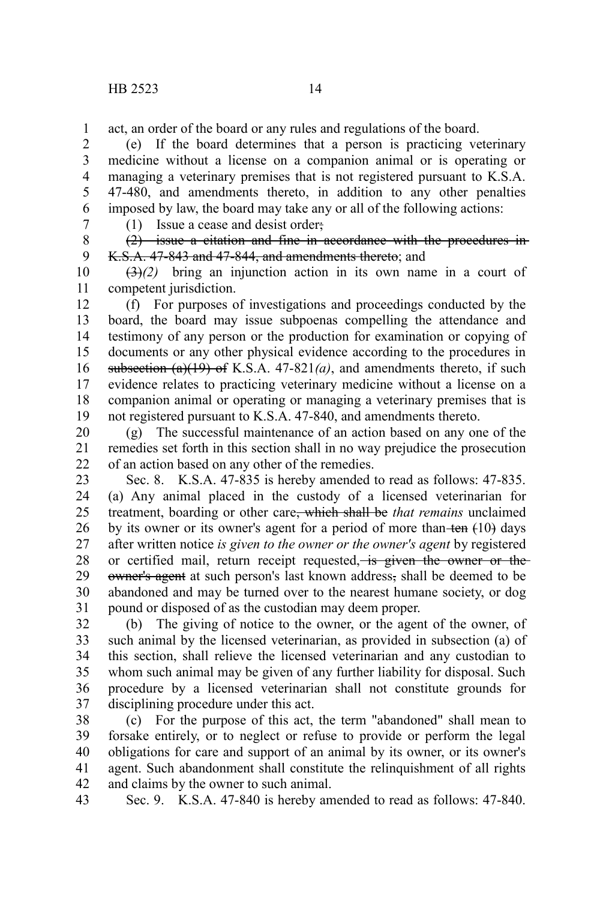act, an order of the board or any rules and regulations of the board. 1

(e) If the board determines that a person is practicing veterinary medicine without a license on a companion animal or is operating or managing a veterinary premises that is not registered pursuant to K.S.A. 47-480, and amendments thereto, in addition to any other penalties imposed by law, the board may take any or all of the following actions: 2 3 4 5 6

7

(1) Issue a cease and desist order;

(2) issue a citation and fine in accordance with the procedures in K.S.A. 47-843 and 47-844, and amendments thereto; and 8 9

(3)*(2)* bring an injunction action in its own name in a court of competent jurisdiction. 10 11

(f) For purposes of investigations and proceedings conducted by the board, the board may issue subpoenas compelling the attendance and testimony of any person or the production for examination or copying of documents or any other physical evidence according to the procedures in subsection  $(a)(19)$  of K.S.A.  $47-821(a)$ , and amendments thereto, if such evidence relates to practicing veterinary medicine without a license on a companion animal or operating or managing a veterinary premises that is not registered pursuant to K.S.A. 47-840, and amendments thereto. 12 13 14 15 16 17 18 19

(g) The successful maintenance of an action based on any one of the remedies set forth in this section shall in no way prejudice the prosecution of an action based on any other of the remedies. 20 21 22

Sec. 8. K.S.A. 47-835 is hereby amended to read as follows: 47-835. (a) Any animal placed in the custody of a licensed veterinarian for treatment, boarding or other care, which shall be *that remains* unclaimed by its owner or its owner's agent for a period of more than ten  $(10)$  days after written notice *is given to the owner or the owner's agent* by registered or certified mail, return receipt requested, is given the owner or the owner's agent at such person's last known address, shall be deemed to be abandoned and may be turned over to the nearest humane society, or dog pound or disposed of as the custodian may deem proper. 23 24 25 26 27 28 29 30 31

(b) The giving of notice to the owner, or the agent of the owner, of such animal by the licensed veterinarian, as provided in subsection (a) of this section, shall relieve the licensed veterinarian and any custodian to whom such animal may be given of any further liability for disposal. Such procedure by a licensed veterinarian shall not constitute grounds for disciplining procedure under this act. 32 33 34 35 36 37

(c) For the purpose of this act, the term "abandoned" shall mean to forsake entirely, or to neglect or refuse to provide or perform the legal obligations for care and support of an animal by its owner, or its owner's agent. Such abandonment shall constitute the relinquishment of all rights and claims by the owner to such animal. 38 39 40 41 42

Sec. 9. K.S.A. 47-840 is hereby amended to read as follows: 47-840. 43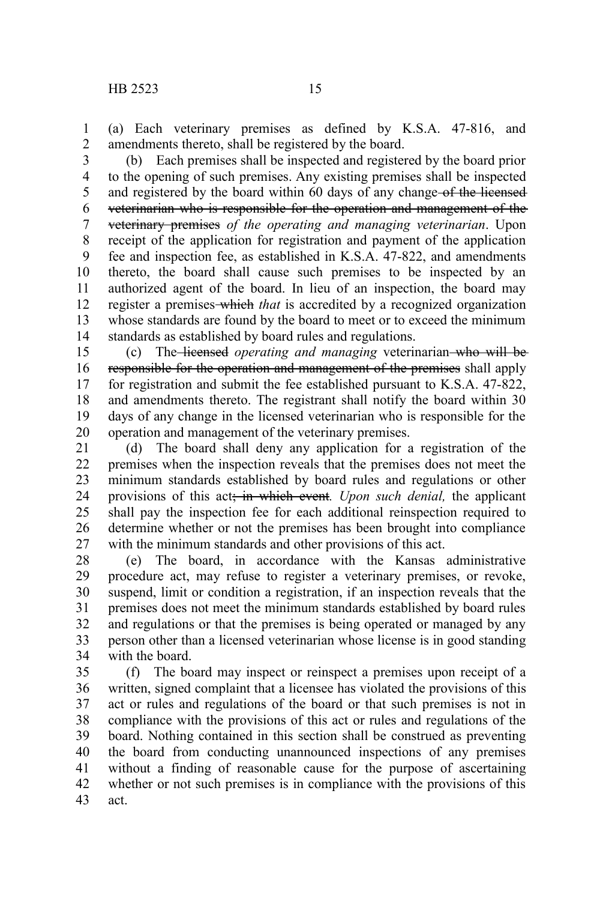(a) Each veterinary premises as defined by K.S.A. 47-816, and amendments thereto, shall be registered by the board. 1 2

(b) Each premises shall be inspected and registered by the board prior to the opening of such premises. Any existing premises shall be inspected and registered by the board within 60 days of any change-of the licensed veterinarian who is responsible for the operation and management of the veterinary premises *of the operating and managing veterinarian*. Upon receipt of the application for registration and payment of the application fee and inspection fee, as established in K.S.A. 47-822, and amendments thereto, the board shall cause such premises to be inspected by an authorized agent of the board. In lieu of an inspection, the board may register a premises-which *that* is accredited by a recognized organization whose standards are found by the board to meet or to exceed the minimum standards as established by board rules and regulations. 3 4 5 6 7 8 9 10 11 12 13 14

(c) The licensed *operating and managing* veterinarian who will be responsible for the operation and management of the premises shall apply for registration and submit the fee established pursuant to K.S.A. 47-822, and amendments thereto. The registrant shall notify the board within 30 days of any change in the licensed veterinarian who is responsible for the operation and management of the veterinary premises. 15 16 17 18 19 20

(d) The board shall deny any application for a registration of the premises when the inspection reveals that the premises does not meet the minimum standards established by board rules and regulations or other provisions of this act; in which event*. Upon such denial,* the applicant shall pay the inspection fee for each additional reinspection required to determine whether or not the premises has been brought into compliance with the minimum standards and other provisions of this act. 21 22 23 24 25 26 27

(e) The board, in accordance with the Kansas administrative procedure act, may refuse to register a veterinary premises, or revoke, suspend, limit or condition a registration, if an inspection reveals that the premises does not meet the minimum standards established by board rules and regulations or that the premises is being operated or managed by any person other than a licensed veterinarian whose license is in good standing with the board. 28 29 30 31 32 33 34

(f) The board may inspect or reinspect a premises upon receipt of a written, signed complaint that a licensee has violated the provisions of this act or rules and regulations of the board or that such premises is not in compliance with the provisions of this act or rules and regulations of the board. Nothing contained in this section shall be construed as preventing the board from conducting unannounced inspections of any premises without a finding of reasonable cause for the purpose of ascertaining whether or not such premises is in compliance with the provisions of this act. 35 36 37 38 39 40 41 42 43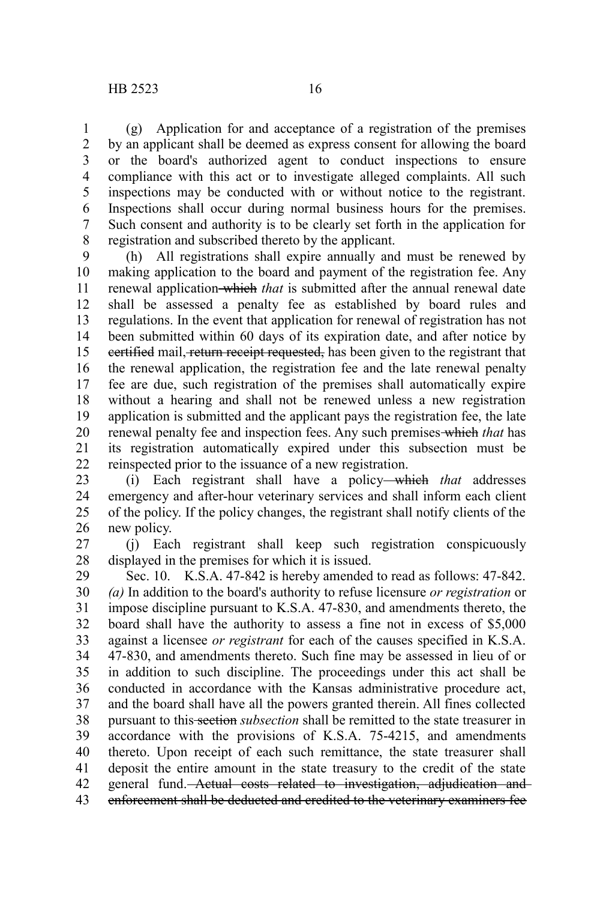(g) Application for and acceptance of a registration of the premises by an applicant shall be deemed as express consent for allowing the board or the board's authorized agent to conduct inspections to ensure compliance with this act or to investigate alleged complaints. All such inspections may be conducted with or without notice to the registrant. Inspections shall occur during normal business hours for the premises. Such consent and authority is to be clearly set forth in the application for registration and subscribed thereto by the applicant. 1 2 3 4 5 6 7 8

(h) All registrations shall expire annually and must be renewed by making application to the board and payment of the registration fee. Any renewal application which *that* is submitted after the annual renewal date shall be assessed a penalty fee as established by board rules and regulations. In the event that application for renewal of registration has not been submitted within 60 days of its expiration date, and after notice by eertified mail, return receipt requested, has been given to the registrant that the renewal application, the registration fee and the late renewal penalty fee are due, such registration of the premises shall automatically expire without a hearing and shall not be renewed unless a new registration application is submitted and the applicant pays the registration fee, the late renewal penalty fee and inspection fees. Any such premises which *that* has its registration automatically expired under this subsection must be reinspected prior to the issuance of a new registration. 9 10 11 12 13 14 15 16 17 18 19 20 21 22

(i) Each registrant shall have a policy which *that* addresses emergency and after-hour veterinary services and shall inform each client of the policy. If the policy changes, the registrant shall notify clients of the new policy. 23 24 25 26

(j) Each registrant shall keep such registration conspicuously displayed in the premises for which it is issued. 27 28

Sec. 10. K.S.A. 47-842 is hereby amended to read as follows: 47-842. *(a)* In addition to the board's authority to refuse licensure *or registration* or impose discipline pursuant to K.S.A. 47-830, and amendments thereto, the board shall have the authority to assess a fine not in excess of \$5,000 against a licensee *or registrant* for each of the causes specified in K.S.A. 47-830, and amendments thereto. Such fine may be assessed in lieu of or in addition to such discipline. The proceedings under this act shall be conducted in accordance with the Kansas administrative procedure act, and the board shall have all the powers granted therein. All fines collected pursuant to this section *subsection* shall be remitted to the state treasurer in accordance with the provisions of K.S.A. 75-4215, and amendments thereto. Upon receipt of each such remittance, the state treasurer shall deposit the entire amount in the state treasury to the credit of the state general fund. Actual costs related to investigation, adjudication and enforcement shall be deducted and credited to the veterinary examiners fee 29 30 31 32 33 34 35 36 37 38 39 40 41 42 43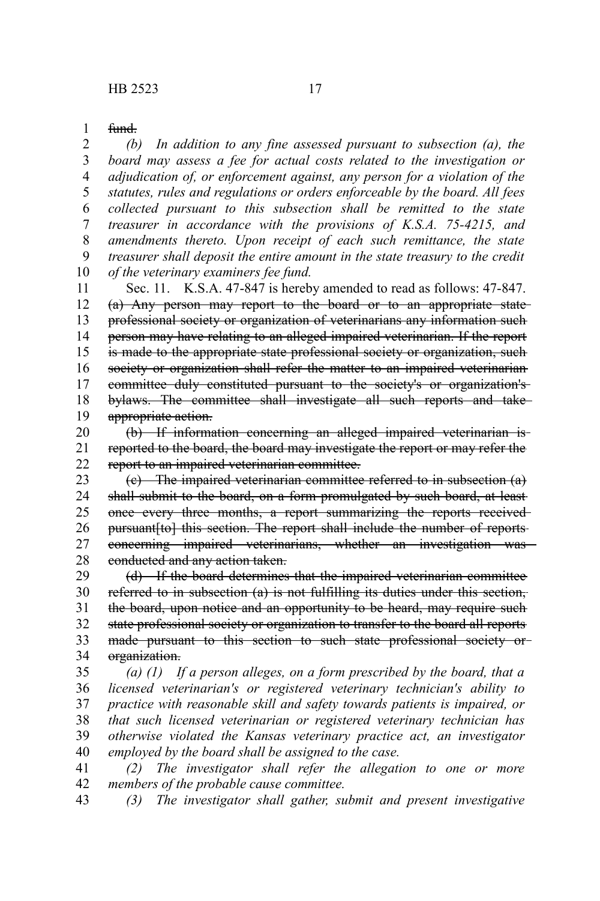fund. 1

*(b) In addition to any fine assessed pursuant to subsection (a), the board may assess a fee for actual costs related to the investigation or adjudication of, or enforcement against, any person for a violation of the statutes, rules and regulations or orders enforceable by the board. All fees collected pursuant to this subsection shall be remitted to the state treasurer in accordance with the provisions of K.S.A. 75-4215, and amendments thereto. Upon receipt of each such remittance, the state treasurer shall deposit the entire amount in the state treasury to the credit of the veterinary examiners fee fund.* 2 3 4 5 6 7 8 9 10

Sec. 11. K.S.A. 47-847 is hereby amended to read as follows: 47-847. (a) Any person may report to the board or to an appropriate state professional society or organization of veterinarians any information such person may have relating to an alleged impaired veterinarian. If the report is made to the appropriate state professional society or organization, such society or organization shall refer the matter to an impaired veterinarian committee duly constituted pursuant to the society's or organization's bylaws. The committee shall investigate all such reports and take appropriate action. 11 12 13 14 15 16 17 18 19

(b) If information concerning an alleged impaired veterinarian is reported to the board, the board may investigate the report or may refer the report to an impaired veterinarian committee. 20 21 22

(c) The impaired veterinarian committee referred to in subsection (a) shall submit to the board, on a form promulgated by such board, at least once every three months, a report summarizing the reports received pursuant[to] this section. The report shall include the number of reportsconcerning impaired veterinarians, whether an investigation was conducted and any action taken. 23 24 25 26 27 28

(d) If the board determines that the impaired veterinarian committee referred to in subsection (a) is not fulfilling its duties under this section, the board, upon notice and an opportunity to be heard, may require such state professional society or organization to transfer to the board all reports made pursuant to this section to such state professional society ororganization. 29 30 31 32 33 34

*(a) (1) If a person alleges, on a form prescribed by the board, that a licensed veterinarian's or registered veterinary technician's ability to practice with reasonable skill and safety towards patients is impaired, or that such licensed veterinarian or registered veterinary technician has otherwise violated the Kansas veterinary practice act, an investigator employed by the board shall be assigned to the case.* 35 36 37 38 39 40

*(2) The investigator shall refer the allegation to one or more members of the probable cause committee.* 41 42

*(3) The investigator shall gather, submit and present investigative* 43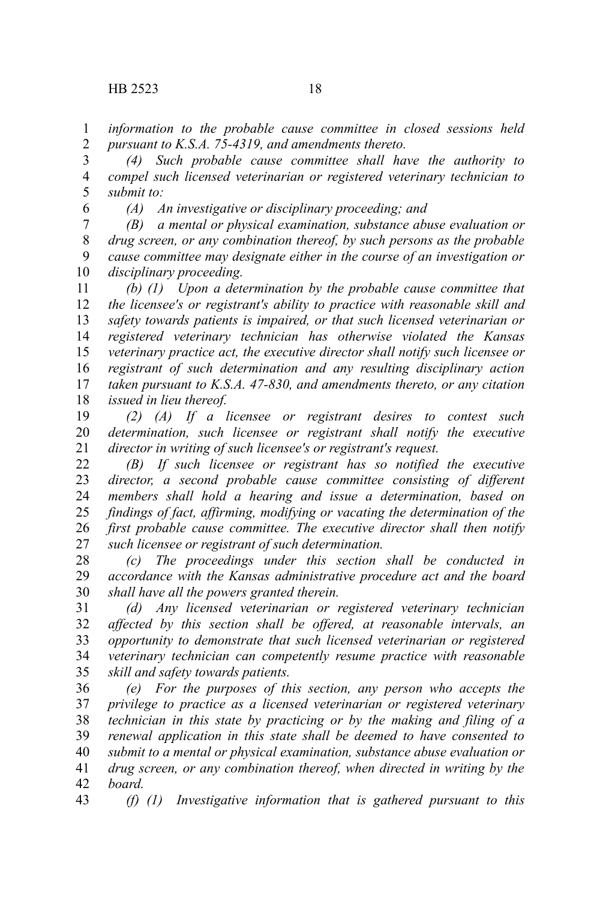*information to the probable cause committee in closed sessions held pursuant to K.S.A. 75-4319, and amendments thereto.* 1 2

*(4) Such probable cause committee shall have the authority to compel such licensed veterinarian or registered veterinary technician to submit to:* 3 4 5

6

*(A) An investigative or disciplinary proceeding; and*

*(B) a mental or physical examination, substance abuse evaluation or drug screen, or any combination thereof, by such persons as the probable cause committee may designate either in the course of an investigation or disciplinary proceeding.* 7 8 9 10

*(b) (1) Upon a determination by the probable cause committee that the licensee's or registrant's ability to practice with reasonable skill and safety towards patients is impaired, or that such licensed veterinarian or registered veterinary technician has otherwise violated the Kansas veterinary practice act, the executive director shall notify such licensee or registrant of such determination and any resulting disciplinary action taken pursuant to K.S.A. 47-830, and amendments thereto, or any citation issued in lieu thereof.* 11 12 13 14 15 16 17 18

*(2) (A) If a licensee or registrant desires to contest such determination, such licensee or registrant shall notify the executive director in writing of such licensee's or registrant's request.* 19 20 21

*(B) If such licensee or registrant has so notified the executive director, a second probable cause committee consisting of different members shall hold a hearing and issue a determination, based on findings of fact, affirming, modifying or vacating the determination of the first probable cause committee. The executive director shall then notify such licensee or registrant of such determination.* 22 23 24 25 26 27

*(c) The proceedings under this section shall be conducted in accordance with the Kansas administrative procedure act and the board shall have all the powers granted therein.* 28 29 30

*(d) Any licensed veterinarian or registered veterinary technician affected by this section shall be offered, at reasonable intervals, an opportunity to demonstrate that such licensed veterinarian or registered veterinary technician can competently resume practice with reasonable skill and safety towards patients.* 31 32 33 34 35

*(e) For the purposes of this section, any person who accepts the privilege to practice as a licensed veterinarian or registered veterinary technician in this state by practicing or by the making and filing of a renewal application in this state shall be deemed to have consented to submit to a mental or physical examination, substance abuse evaluation or drug screen, or any combination thereof, when directed in writing by the board.* 36 37 38 39 40 41 42

*(f) (1) Investigative information that is gathered pursuant to this* 43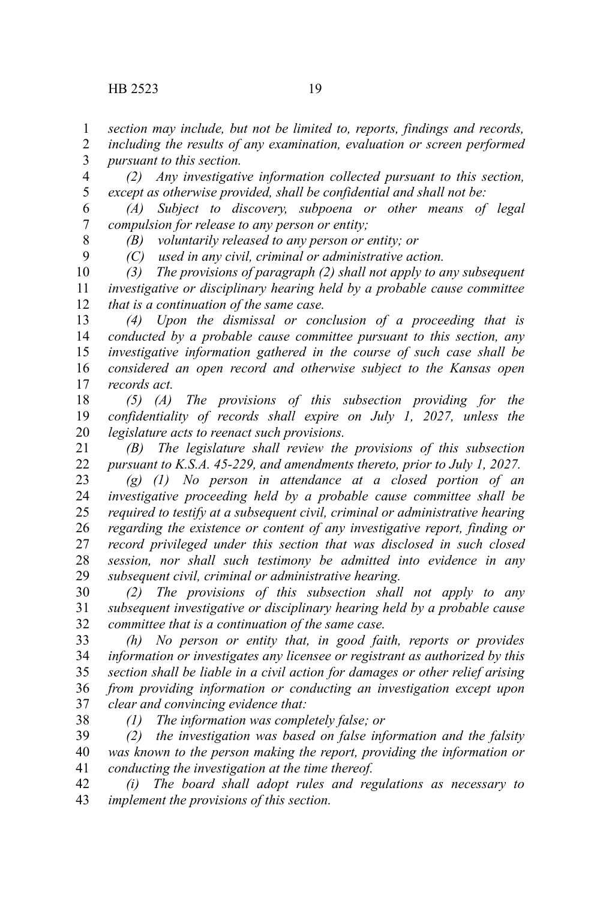*section may include, but not be limited to, reports, findings and records,* 1

*including the results of any examination, evaluation or screen performed pursuant to this section.* 2 3

*(2) Any investigative information collected pursuant to this section, except as otherwise provided, shall be confidential and shall not be:* 4 5

*(A) Subject to discovery, subpoena or other means of legal compulsion for release to any person or entity;* 6 7

8 9 *(B) voluntarily released to any person or entity; or*

*(C) used in any civil, criminal or administrative action.*

*(3) The provisions of paragraph (2) shall not apply to any subsequent investigative or disciplinary hearing held by a probable cause committee that is a continuation of the same case.* 10 11 12

*(4) Upon the dismissal or conclusion of a proceeding that is conducted by a probable cause committee pursuant to this section, any investigative information gathered in the course of such case shall be considered an open record and otherwise subject to the Kansas open records act.* 13 14 15 16 17

*(5) (A) The provisions of this subsection providing for the confidentiality of records shall expire on July 1, 2027, unless the legislature acts to reenact such provisions.* 18 19 20

*(B) The legislature shall review the provisions of this subsection pursuant to K.S.A. 45-229, and amendments thereto, prior to July 1, 2027.* 21 22

*(g) (1) No person in attendance at a closed portion of an investigative proceeding held by a probable cause committee shall be required to testify at a subsequent civil, criminal or administrative hearing regarding the existence or content of any investigative report, finding or record privileged under this section that was disclosed in such closed session, nor shall such testimony be admitted into evidence in any subsequent civil, criminal or administrative hearing.* 23 24 25 26 27 28 29

*(2) The provisions of this subsection shall not apply to any subsequent investigative or disciplinary hearing held by a probable cause committee that is a continuation of the same case.* 30 31 32

*(h) No person or entity that, in good faith, reports or provides information or investigates any licensee or registrant as authorized by this section shall be liable in a civil action for damages or other relief arising from providing information or conducting an investigation except upon clear and convincing evidence that:* 33 34 35 36 37

38

*(1) The information was completely false; or*

*(2) the investigation was based on false information and the falsity was known to the person making the report, providing the information or conducting the investigation at the time thereof.* 39 40 41

*(i) The board shall adopt rules and regulations as necessary to implement the provisions of this section.* 42 43